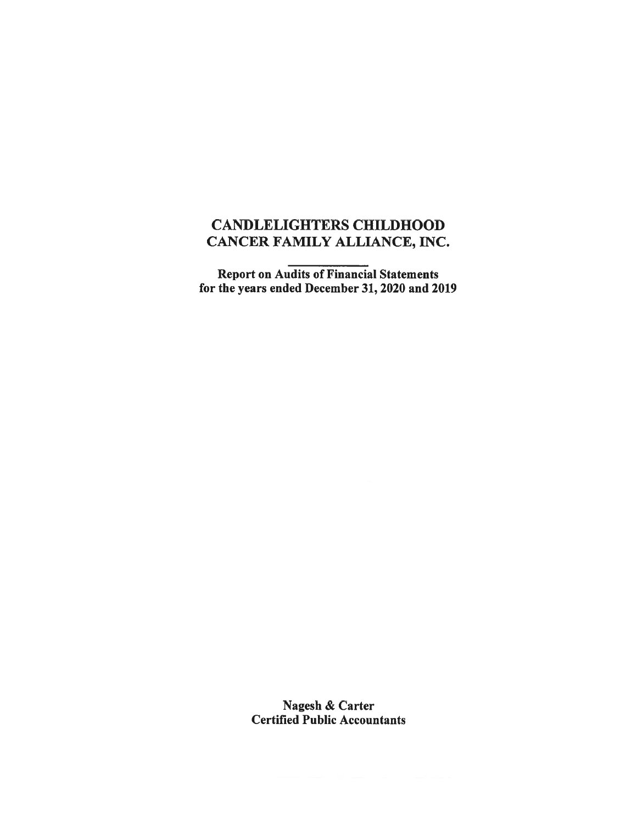# CANDLELIGHTERS CHILDHOOD CANCER FAMILY ALLIANCE, INC.

Report on Audits of Financial Statements for the years ended December 31, <sup>2020</sup> and <sup>2019</sup>

> Nagesh & Carter Certified Public Accountants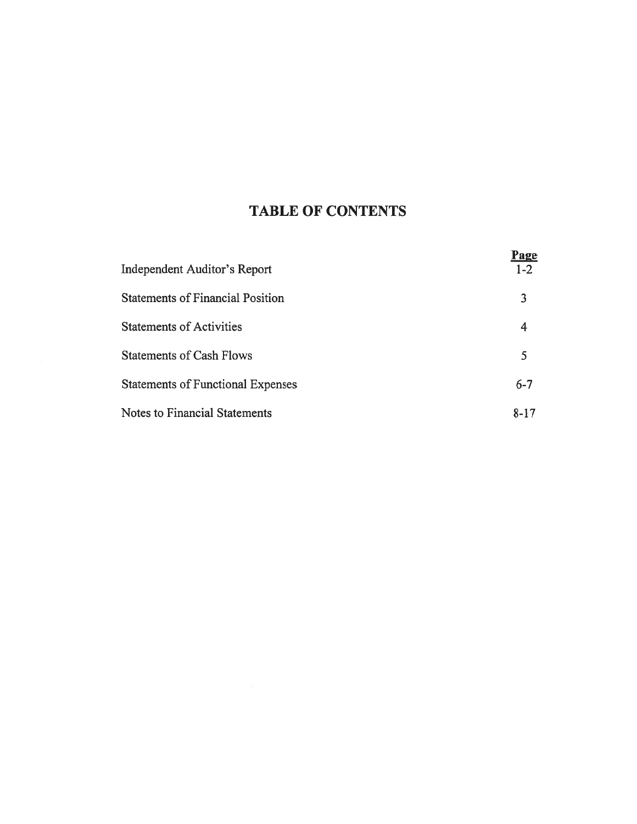# TABLE OF CONTENTS

|                                          | <u>Page</u> |
|------------------------------------------|-------------|
| Independent Auditor's Report             | $1-2$       |
| <b>Statements of Financial Position</b>  | 3           |
| <b>Statements of Activities</b>          | 4           |
| <b>Statements of Cash Flows</b>          | 5           |
| <b>Statements of Functional Expenses</b> | $6 - 7$     |
| Notes to Financial Statements            | $8 - 17$    |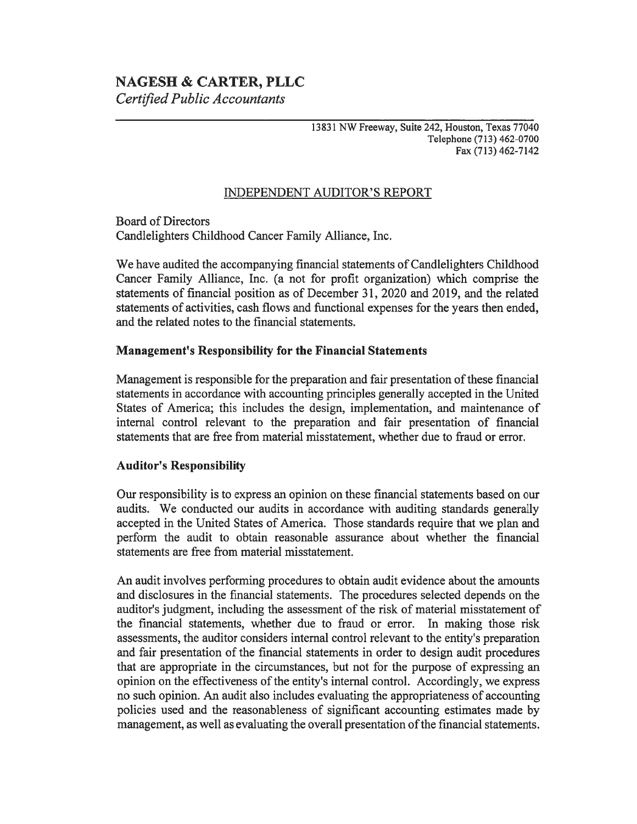# NAGESH & CARTER, PLLC

Certified Public Accountants

#### <sup>13831</sup> NW Freeway, Suite 242, Houston, Texas <sup>77040</sup> Telephone (713) 462-0700 Fax (713) 462-7142

# INDEPENDENT AUDITOR'S REPORT

Board of Directors Candlelighters Childhood Cancer Family Alliance, Inc.

We have audited the accompanying financial statements of Candlelighters Childhood Cancer Family Alliance, Inc. (a not for profit organization) which comprise the statements of financial position as of December 31, <sup>2020</sup> and 2019, and the related statements of activities, cash flows and functional expenses for the years then ended, and the related notes to the financial statements.

## Management's Responsibility for the Financial Statements

Management is responsible for the preparation and fair presentation of these financial statements in accordance with accounting principles generally accepted in the United States of America; this includes the design, implementation, and maintenance of internal control relevant to the preparation and fair presentation of financial statements that are free from material misstatement, whether due to fraud or error.

# **Auditor's Responsibility**

Our responsibility is to express an opinion on these financial statements based on our audits. We conducted our audits in accordance with auditing standards generally accepted in the United States of America. Those standards require that we plan and perform the audit to obtain reasonable assurance about whether the financial statements are free from material misstatement.

An audit involves performing procedures to obtain audit evidence about the amounts and disclosures in the financial statements. The procedures selected depends on the auditor's judgment, including the assessment of the risk of material misstatement of the financial statements, whether due to fraud or error. In making those risk assessments, the auditor considers internal control relevant to the entity's preparation and fair presentation of the financial statements in order to design audit procedures that are appropriate in the circumstances, but not for the purpose of expressing an opinion on the effectiveness of the entity's internal control. Accordingly, we express no such opinion. An audit also includes evaluating the appropriateness of accounting policies used and the reasonableness of significant accounting estimates made by management, as well as evaluating the overall presentation of the financial statements.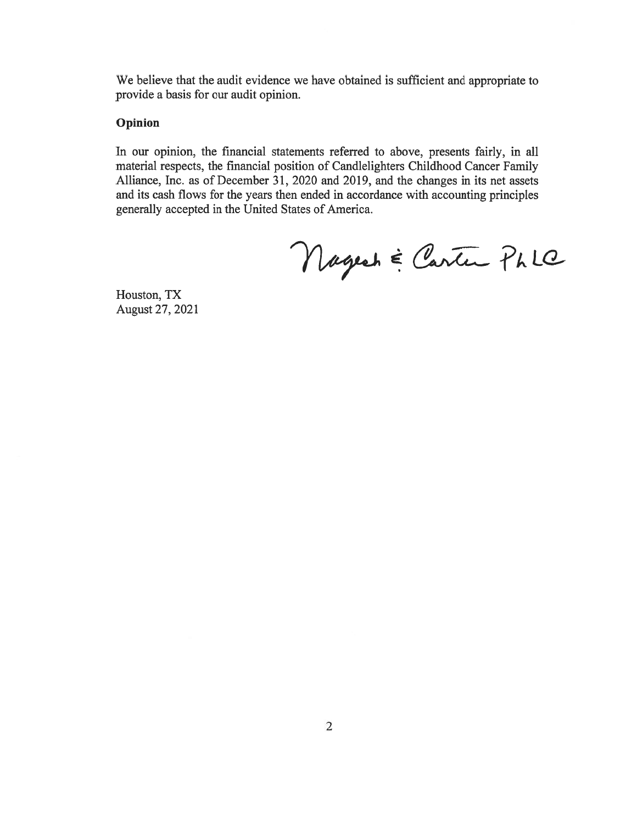We believe that the audit evidence we have obtained is sufficient and appropriate to provide <sup>a</sup> basis for our audit opinion.

## Opinion

In our opinion, the financial statements referred to above, presents fairly, in all material respects, the financial position of Candlelighters Childhood Cancer Family Alliance, Inc. as of December 31, <sup>2020</sup> and 2019, and the changes in its net assets and its cash flows for the years then ended in accordance with accounting principles generally accepted in the United States of America.

Nagesh & Carter Phle

Houston, TX August 27, <sup>2021</sup>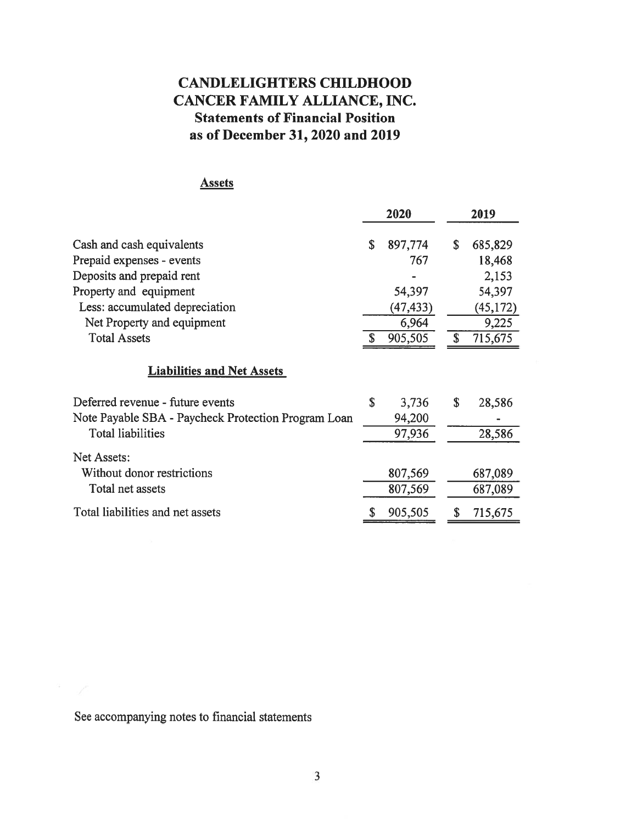# CANDLELIGHTERSCHILDHOOD CANCER FAMILY ALLIANCE, INC. Statements of Financial Position as of December 31, 2020 and 2019

# **Assets**

|                                                                                                                     | 2020                            | 2019                             |
|---------------------------------------------------------------------------------------------------------------------|---------------------------------|----------------------------------|
| Cash and cash equivalents<br>Prepaid expenses - events<br>Deposits and prepaid rent                                 | \$<br>897,774<br>767            | \$<br>685,829<br>18,468<br>2,153 |
| Property and equipment<br>Less: accumulated depreciation                                                            | 54,397<br>(47, 433)             | 54,397<br>(45, 172)              |
| Net Property and equipment<br><b>Total Assets</b>                                                                   | 6,964<br>905,505                | \$<br>9,225<br>715,675           |
| <b>Liabilities and Net Assets</b>                                                                                   |                                 |                                  |
| Deferred revenue - future events<br>Note Payable SBA - Paycheck Protection Program Loan<br><b>Total liabilities</b> | \$<br>3,736<br>94,200<br>97,936 | \$<br>28,586<br>28,586           |
| Net Assets:<br>Without donor restrictions<br>Total net assets                                                       | 807,569<br>807,569              | 687,089<br>687,089               |
| Total liabilities and net assets                                                                                    | 905,505                         | 715,675                          |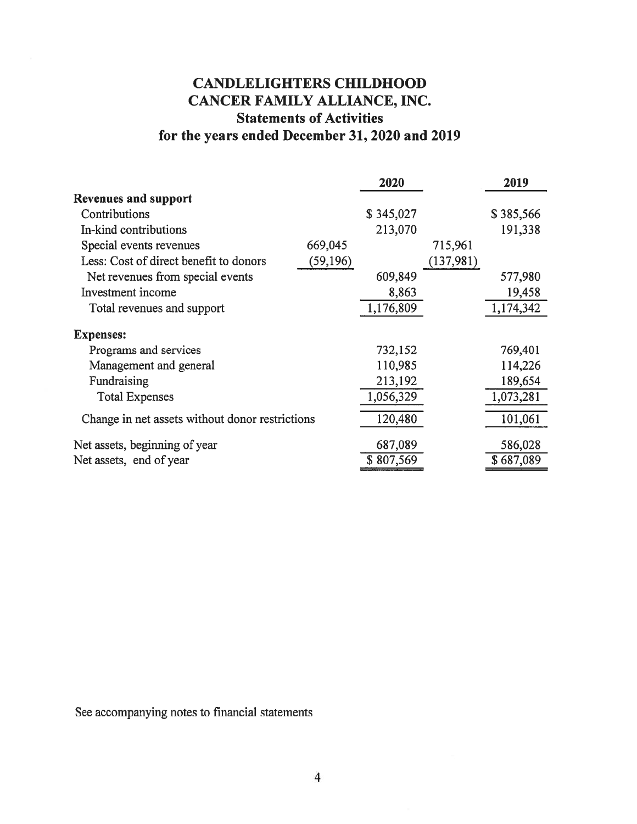# CANDLELIGHTERS CHILDHOOD CANCER FAMILY ALLIANCE, INC. Statements of Activities for the years ended December 31, 2020 and 2019

|                                                 |           | 2020      |           | 2019      |
|-------------------------------------------------|-----------|-----------|-----------|-----------|
| <b>Revenues and support</b>                     |           |           |           |           |
| Contributions                                   |           | \$345,027 |           | \$385,566 |
| In-kind contributions                           |           | 213,070   |           | 191,338   |
| Special events revenues                         | 669,045   |           | 715,961   |           |
| Less: Cost of direct benefit to donors          | (59, 196) |           | (137,981) |           |
| Net revenues from special events                |           | 609,849   |           | 577,980   |
| Investment income                               |           | 8,863     |           | 19,458    |
| Total revenues and support                      |           | 1,176,809 |           | 1,174,342 |
| <b>Expenses:</b>                                |           |           |           |           |
| Programs and services                           |           | 732,152   |           | 769,401   |
| Management and general                          |           | 110,985   |           | 114,226   |
| Fundraising                                     |           | 213,192   |           | 189,654   |
| <b>Total Expenses</b>                           |           | 1,056,329 |           | 1,073,281 |
| Change in net assets without donor restrictions |           | 120,480   |           | 101,061   |
| Net assets, beginning of year                   |           | 687,089   |           | 586,028   |
| Net assets, end of year                         |           | \$807,569 |           | \$687,089 |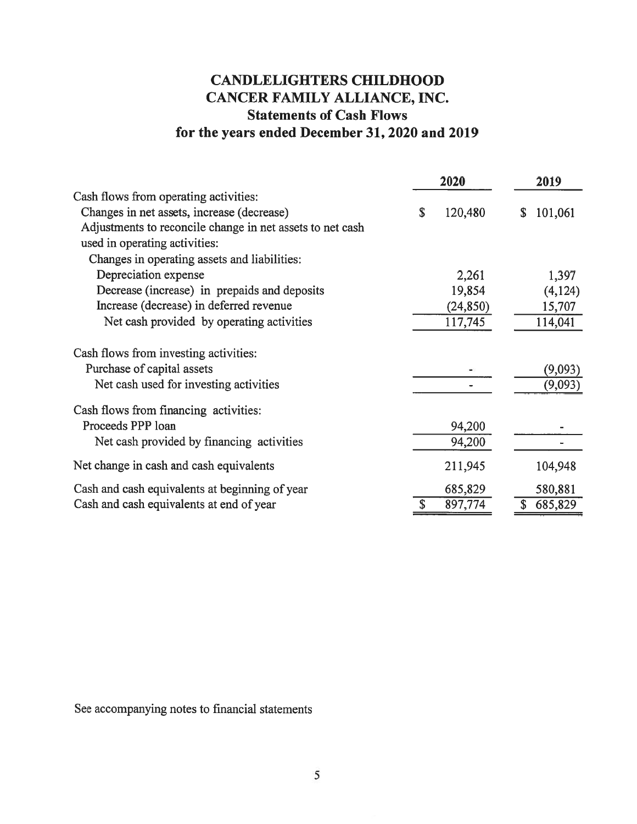# CANDLELIGHTERS CHILDHOOD CANCER FAMILY ALLIANCE, INC. Statements of Cash Flows for the years ended December 31, 2020 and 2019

|                                                           | 2020          |    | 2019    |  |
|-----------------------------------------------------------|---------------|----|---------|--|
| Cash flows from operating activities:                     |               |    |         |  |
| Changes in net assets, increase (decrease)                | \$<br>120,480 | S. | 101,061 |  |
| Adjustments to reconcile change in net assets to net cash |               |    |         |  |
| used in operating activities:                             |               |    |         |  |
| Changes in operating assets and liabilities:              |               |    |         |  |
| Depreciation expense                                      | 2,261         |    | 1,397   |  |
| Decrease (increase) in prepaids and deposits              | 19,854        |    | (4,124) |  |
| Increase (decrease) in deferred revenue                   | (24, 850)     |    | 15,707  |  |
| Net cash provided by operating activities                 | 117,745       |    | 114,041 |  |
| Cash flows from investing activities:                     |               |    |         |  |
| Purchase of capital assets                                |               |    | (9,093) |  |
| Net cash used for investing activities                    |               |    | (9,093) |  |
| Cash flows from financing activities:                     |               |    |         |  |
| Proceeds PPP loan                                         | 94,200        |    |         |  |
| Net cash provided by financing activities                 | 94,200        |    |         |  |
| Net change in cash and cash equivalents                   | 211,945       |    | 104,948 |  |
| Cash and cash equivalents at beginning of year            | 685,829       |    | 580,881 |  |
| Cash and cash equivalents at end of year                  | 897,774       | \$ | 685,829 |  |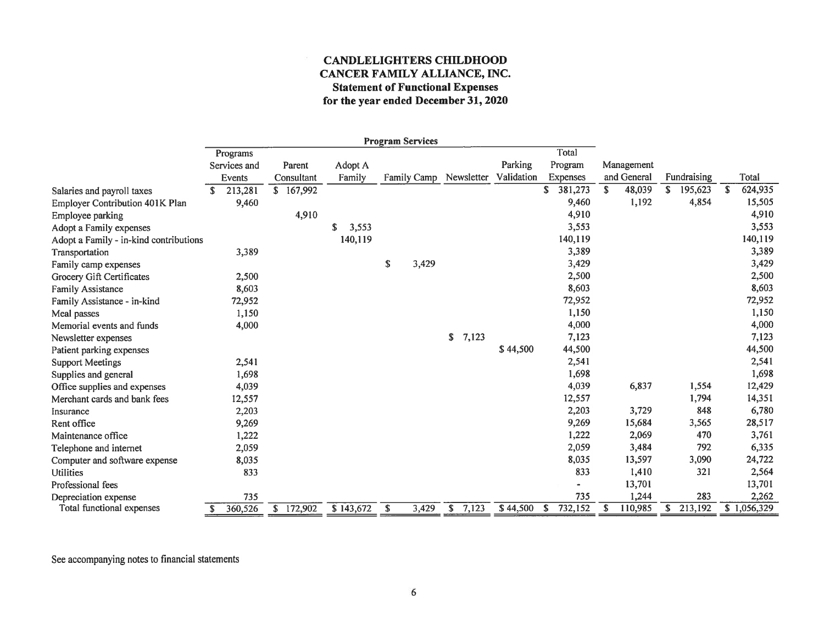## CANDLELIGHTERS CHILDHOOD CANCER FAMILY ALLIANCE, INC. Statement of Functional Expenses for the year ended December 31, 2020

|                                        |    |              |            |       |             |                           | <b>Program Services</b> |             |            |   |          |    |             |    |             |   |             |
|----------------------------------------|----|--------------|------------|-------|-------------|---------------------------|-------------------------|-------------|------------|---|----------|----|-------------|----|-------------|---|-------------|
|                                        |    | Programs     |            |       |             |                           |                         |             |            |   | Total    |    |             |    |             |   |             |
|                                        |    | Services and | Parent     |       | Adopt A     |                           |                         |             | Parking    |   | Program  |    | Management  |    |             |   |             |
|                                        |    | Events       | Consultant |       | Family      |                           | <b>Family Camp</b>      | Newsletter  | Validation |   | Expenses |    | and General |    | Fundraising |   | Total       |
| Salaries and payroll taxes             | £. | 213,281      | \$167,992  |       |             |                           |                         |             |            | S | 381,273  | \$ | 48,039      | S  | 195,623     | S | 624,935     |
| Employer Contribution 401K Plan        |    | 9,460        |            |       |             |                           |                         |             |            |   | 9,460    |    | 1,192       |    | 4,854       |   | 15,505      |
| Employee parking                       |    |              |            | 4,910 |             |                           |                         |             |            |   | 4,910    |    |             |    |             |   | 4,910       |
| Adopt a Family expenses                |    |              |            |       | \$<br>3,553 |                           |                         |             |            |   | 3,553    |    |             |    |             |   | 3,553       |
| Adopt a Family - in-kind contributions |    |              |            |       | 140,119     |                           |                         |             |            |   | 140,119  |    |             |    |             |   | 140,119     |
| Transportation                         |    | 3,389        |            |       |             |                           |                         |             |            |   | 3,389    |    |             |    |             |   | 3,389       |
| Family camp expenses                   |    |              |            |       |             | $\boldsymbol{\mathsf{s}}$ | 3,429                   |             |            |   | 3,429    |    |             |    |             |   | 3,429       |
| Grocery Gift Certificates              |    | 2,500        |            |       |             |                           |                         |             |            |   | 2,500    |    |             |    |             |   | 2,500       |
| Family Assistance                      |    | 8,603        |            |       |             |                           |                         |             |            |   | 8,603    |    |             |    |             |   | 8,603       |
| Family Assistance - in-kind            |    | 72,952       |            |       |             |                           |                         |             |            |   | 72,952   |    |             |    |             |   | 72,952      |
| Meal passes                            |    | 1,150        |            |       |             |                           |                         |             |            |   | 1,150    |    |             |    |             |   | 1,150       |
| Memorial events and funds              |    | 4,000        |            |       |             |                           |                         |             |            |   | 4,000    |    |             |    |             |   | 4,000       |
| Newsletter expenses                    |    |              |            |       |             |                           |                         | \$<br>7,123 |            |   | 7,123    |    |             |    |             |   | 7,123       |
| Patient parking expenses               |    |              |            |       |             |                           |                         |             | \$44,500   |   | 44,500   |    |             |    |             |   | 44,500      |
| <b>Support Meetings</b>                |    | 2,541        |            |       |             |                           |                         |             |            |   | 2,541    |    |             |    |             |   | 2,541       |
| Supplies and general                   |    | 1,698        |            |       |             |                           |                         |             |            |   | 1,698    |    |             |    |             |   | 1,698       |
| Office supplies and expenses           |    | 4,039        |            |       |             |                           |                         |             |            |   | 4,039    |    | 6,837       |    | 1,554       |   | 12,429      |
| Merchant cards and bank fees           |    | 12,557       |            |       |             |                           |                         |             |            |   | 12,557   |    |             |    | 1,794       |   | 14,351      |
| Insurance                              |    | 2,203        |            |       |             |                           |                         |             |            |   | 2,203    |    | 3,729       |    | 848         |   | 6,780       |
| Rent office                            |    | 9,269        |            |       |             |                           |                         |             |            |   | 9,269    |    | 15,684      |    | 3,565       |   | 28,517      |
| Maintenance office                     |    | 1,222        |            |       |             |                           |                         |             |            |   | 1,222    |    | 2,069       |    | 470         |   | 3,761       |
| Telephone and internet                 |    | 2,059        |            |       |             |                           |                         |             |            |   | 2,059    |    | 3,484       |    | 792         |   | 6,335       |
| Computer and software expense          |    | 8,035        |            |       |             |                           |                         |             |            |   | 8,035    |    | 13,597      |    | 3,090       |   | 24,722      |
| <b>Utilities</b>                       |    | 833          |            |       |             |                           |                         |             |            |   | 833      |    | 1,410       |    | 321         |   | 2,564       |
| Professional fees                      |    |              |            |       |             |                           |                         |             |            |   |          |    | 13,701      |    |             |   | 13,701      |
| Depreciation expense                   |    | 735          |            |       |             |                           |                         |             |            |   | 735      |    | 1,244       |    | 283         |   | 2,262       |
| Total functional expenses              | S  | 360,526      | \$172,902  |       | \$143,672   | <b>S</b>                  | 3,429                   | \$<br>7,123 | \$44,500   | S | 732,152  | S. | 110,985     | S. | 213,192     |   | \$1,056,329 |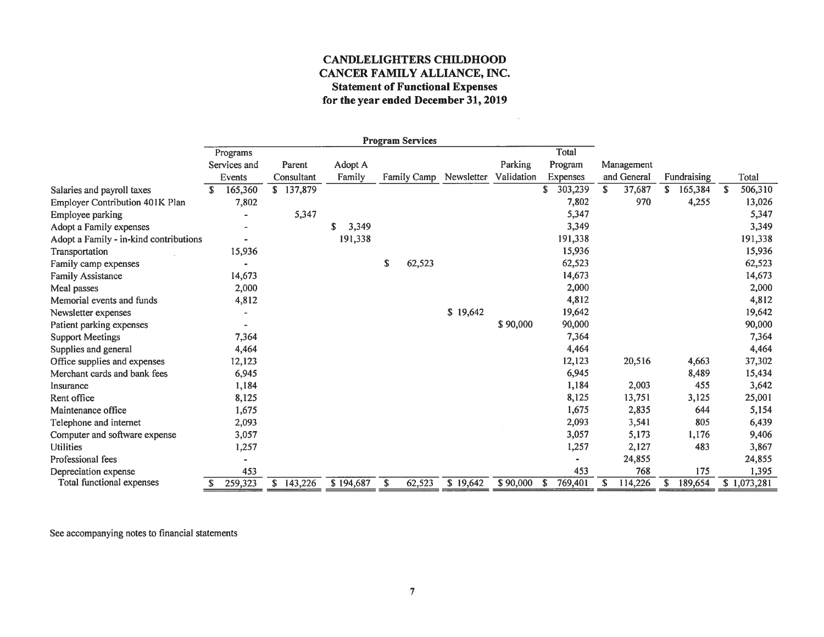## CANDLELIGHTERS CHILDHOOD CANCER FAMILY ALLIANCE, INC. **Statement of Functional Expenses** for the year ended December 31, 2019

 $\sim 10^{\circ}$ 

|                                        |               |            |            | <b>Program Services</b> |            |            |               |              |              |   |             |
|----------------------------------------|---------------|------------|------------|-------------------------|------------|------------|---------------|--------------|--------------|---|-------------|
|                                        | Programs      |            |            |                         |            |            | Total         |              |              |   |             |
|                                        | Services and  | Parent     | Adopt A    |                         |            | Parking    | Program       | Management   |              |   |             |
|                                        | Events        | Consultant | Family     | <b>Family Camp</b>      | Newsletter | Validation | Expenses      | and General  | Fundraising  |   | Total       |
| Salaries and payroll taxes             | £.<br>165,360 | \$137,879  |            |                         |            |            | 303,239       | 37,687<br>S. | 165,384<br>S | S | 506,310     |
| Employer Contribution 401K Plan        | 7,802         |            |            |                         |            |            | 7,802         | 970          | 4,255        |   | 13,026      |
| Employee parking                       |               | 5,347      |            |                         |            |            | 5,347         |              |              |   | 5,347       |
| Adopt a Family expenses                |               |            | 3,349<br>S |                         |            |            | 3,349         |              |              |   | 3,349       |
| Adopt a Family - in-kind contributions |               |            | 191,338    |                         |            |            | 191,338       |              |              |   | 191,338     |
| Transportation                         | 15,936        |            |            |                         |            |            | 15,936        |              |              |   | 15,936      |
| Family camp expenses                   |               |            |            | \$<br>62,523            |            |            | 62,523        |              |              |   | 62,523      |
| <b>Family Assistance</b>               | 14,673        |            |            |                         |            |            | 14,673        |              |              |   | 14,673      |
| Meal passes                            | 2,000         |            |            |                         |            |            | 2,000         |              |              |   | 2,000       |
| Memorial events and funds              | 4,812         |            |            |                         |            |            | 4,812         |              |              |   | 4,812       |
| Newsletter expenses                    |               |            |            |                         | \$19,642   |            | 19,642        |              |              |   | 19,642      |
| Patient parking expenses               |               |            |            |                         |            | \$90,000   | 90,000        |              |              |   | 90,000      |
| <b>Support Meetings</b>                | 7,364         |            |            |                         |            |            | 7,364         |              |              |   | 7,364       |
| Supplies and general                   | 4,464         |            |            |                         |            |            | 4,464         |              |              |   | 4,464       |
| Office supplies and expenses           | 12,123        |            |            |                         |            |            | 12,123        | 20,516       | 4,663        |   | 37,302      |
| Merchant cards and bank fees           | 6,945         |            |            |                         |            |            | 6,945         |              | 8,489        |   | 15,434      |
| Insurance                              | 1,184         |            |            |                         |            |            | 1,184         | 2,003        | 455          |   | 3,642       |
| Rent office                            | 8,125         |            |            |                         |            |            | 8,125         | 13,751       | 3,125        |   | 25,001      |
| Maintenance office                     | 1,675         |            |            |                         |            |            | 1,675         | 2,835        | 644          |   | 5,154       |
| Telephone and internet                 | 2,093         |            |            |                         |            |            | 2,093         | 3,541        | 805          |   | 6,439       |
| Computer and software expense          | 3,057         |            |            |                         |            |            | 3,057         | 5,173        | 1,176        |   | 9,406       |
| <b>Utilities</b>                       | 1,257         |            |            |                         |            |            | 1,257         | 2,127        | 483          |   | 3,867       |
| Professional fees                      |               |            |            |                         |            |            |               | 24,855       |              |   | 24,855      |
| Depreciation expense                   | 453           |            |            |                         |            |            | 453           | 768          | 175          |   | 1,395       |
| Total functional expenses              | 259,323       | \$143,226  | \$194,687  | 62,523<br>S.            | \$19,642   | \$90,000   | 769,401<br>-S | 114,226<br>S | 189,654<br>S |   | \$1,073,281 |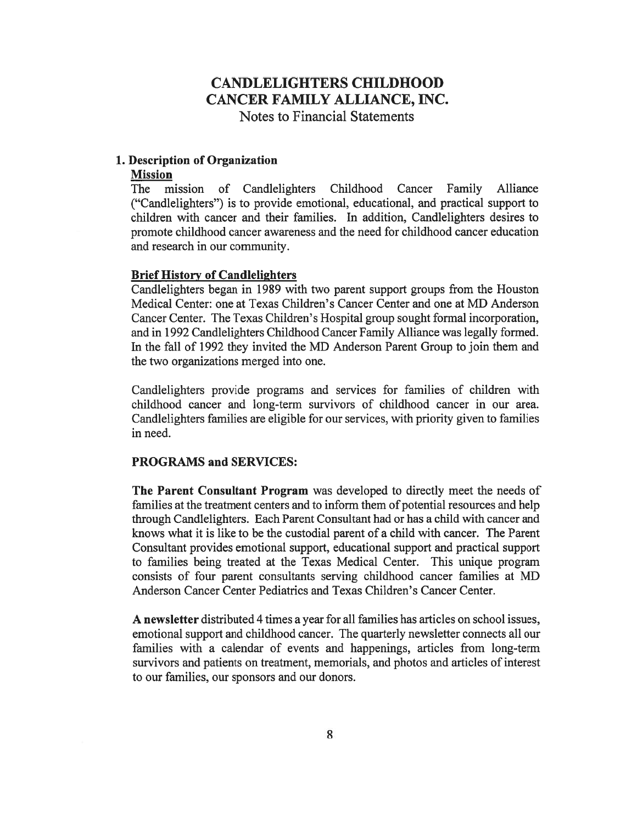### 1. Description of Organization

#### Mission

The mission of Candlelighters Childhood Cancer Family Alliance ("Candlelighters") is to provide emotional, educational, and practical support to children with cancer and their families. In addition, Candlelighters desires to promote childhood cancer awareness and the need for childhood cancer education and research in our community.

### Brief History of Candlelighters

Candlelighters began in <sup>1989</sup> with two parent support groups from the Houston Medical Center: one at Texas Children's Cancer Center and one at MD Anderson Cancer Center. The Texas Children's Hospital group sought formal incorporation, and in <sup>1992</sup> Candlelighters Childhood Cancer Family Alliance was legally formed. In the fall of <sup>1992</sup> they invited the MD Anderson Parent Group to join them and the two organizations merged into one.

Candlelighters provide programs and services for families of children with childhood cancer and long-term survivors of childhood cancer in our area. Candlelighters families are eligible for our services, with priority given to families in need.

#### PROGRAMS and SERVICES:

The Parent Consultant Program was developed to directly meet the needs of families at the treatment centers and to inform them of potential resources and help through Candlelighters. Each Parent Consultant had or has <sup>a</sup> child with cancer and knows what it is like to be the custodial parent of <sup>a</sup> child with cancer. The Parent Consultant provides emotional support, educational support and practical support to families being treated at the Texas Medical Center. This unique program consists of four parent consultants serving childhood cancer families at MD Anderson Cancer Center Pediatrics and Texas Children's Cancer Center.

A newsletter distributed <sup>4</sup> times <sup>a</sup> year for all families has articles on school issues, emotional support and childhood cancer. The quarterly newsletter connects all our families with <sup>a</sup> calendar of events and happenings, articles from long-term survivors and patients on treatment, memorials, and photos and articles of interest to our families, our sponsors and our donors.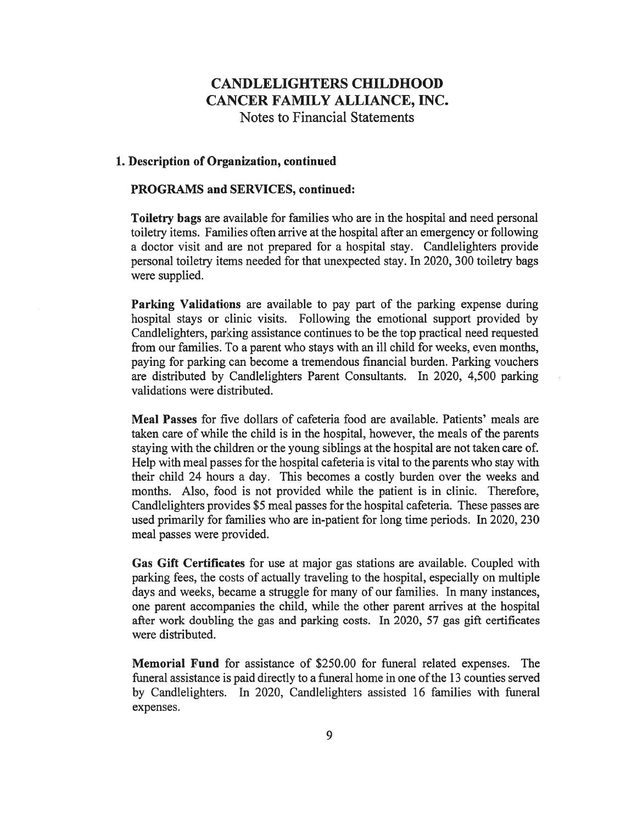# CANDLELIGHTERSCHILDHOOD CANCER FAMILY ALLIANCE, INC.

Notes to Financial Statements

## 1. Description of Organization, continued

#### PROGRAMS and SERVICES, continued:

Toiletrybags are available for families who are in the hospital and need personal toiletry items. Families often arrive at the hospital after an emergency or following <sup>a</sup> doctor visit and are not prepared for <sup>a</sup> hospital stay. Candlelighters provide personal toiletry items needed for that unexpected stay. In 2020, <sup>300</sup> toiletry bags were supplied.

Parking Validations are available to pay part of the parking expense during hospital stays or clinic visits. Following the emotional support provided by Candlelighters, parking assistance continues to be the top practical need requested from our families. To <sup>a</sup> parent who stays with an ill child for weeks, even months, paying for parking can become <sup>a</sup> tremendous financial burden. Parking vouchers are distributed by Candlelighters Parent Consultants. In 2020, 4,500 parking validations were distributed.

Meal Passes for five dollars of cafeteria food are available. Patients' meals are taken care of while the child is in the hospital, however, the meals of the parents staying with the children or the young siblings at the hospital are not taken care of. Help with meal passes for the hospital cafeteria is vital to the parents who stay with their child <sup>24</sup> hours <sup>a</sup> day. This becomes <sup>a</sup> costly burden over the weeks and months. Also, food is not provided while the patient is in clinic. Therefore, Candlelighters provides \$5 meal passes for the hospital cafeteria. These passes are used primarily for families who are in-patient for long time periods. In 2020, <sup>230</sup> meal passes were provided.

Gas Gift Certificates for use at major gas stations are available. Coupled with parking fees, the costs of actually traveling to the hospital, especially on multiple days and weeks, became <sup>a</sup> struggle for many of our families. In many instances, one parent accompanies the child, while the other parent arrives at the hospital after work doubling the gas and parking costs. In 2020, <sup>57</sup> gas gift certificates were distributed.

Memorial Fund for assistance of \$250.00 for funeral related expenses. The funeral assistance is paid directly to <sup>a</sup> funeral home in one of the <sup>13</sup> counties served by Candlelighters. In 2020, Candlelighters assisted <sup>16</sup> families with funeral expenses.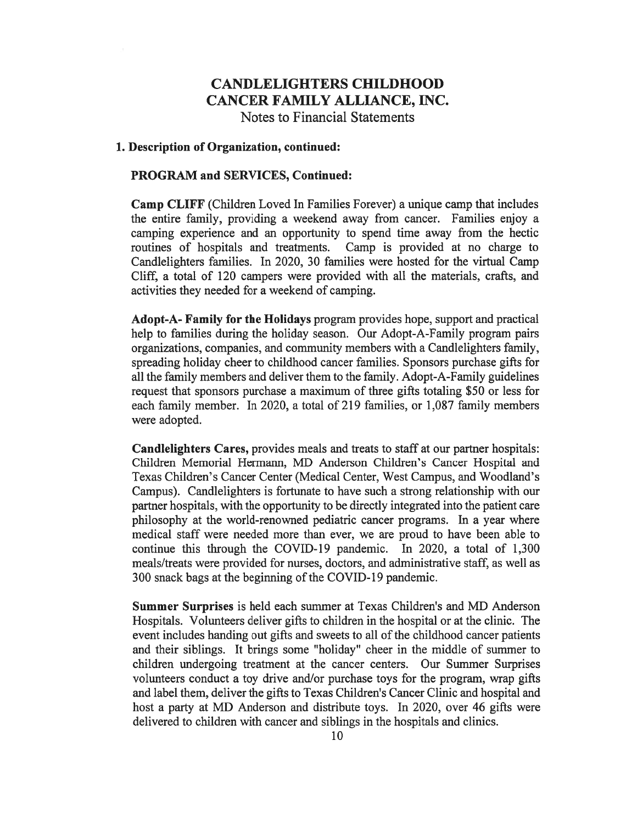#### 1. Description of Organization, continued:

#### PROGRAM and SERVICES, Continued:

Camp CLIFF (Children Loved In Families Forever) <sup>a</sup> unique camp that includes the entire family, providing <sup>a</sup> weekend away from cancer. Families enjoy <sup>a</sup> camping experience and an opportunity to spend time away from the hectic routines of hospitals and treatments. Camp is provided at no charge to Candlelighters families. In 2020, <sup>30</sup> families were hosted for the virtual Camp Cliff, <sup>a</sup> total of <sup>120</sup> campers were provided with all the materials, crafts, and activities they needed for <sup>a</sup> weekend of camping.

Adopt-A- Family for the Holidays program provides hope, support and practical help to families during the holiday season. Our Adopt-A-Family program pairs organizations, companies, and community members with <sup>a</sup> Candlelighters family, spreading holiday cheer to childhood cancer families. Sponsors purchase gifts for all the family members and deliver them to the family.Adopt-A-Family guidelines request that sponsors purchase <sup>a</sup> maximum of three gifts totaling \$50 or less for each family member. In 2020, <sup>a</sup> total of <sup>219</sup> families, or 1,087 family members were adopted.

Candlelighters Cares, provides meals and treats to staff at our partner hospitals: Children Memorial Hermann, MD Anderson Children's Cancer Hospital and Texas Children's Cancer Center (Medical Center, West Campus, and Woodland's Campus). Candlelighters is fortunate to have such <sup>a</sup> strong relationship with our partner hospitals, with the opportunity to be directly integrated into the patient care philosophy at the world-renowned pediatric cancer programs. In <sup>a</sup> year where medical staff were needed more than ever, we are proud to have been able to continue this through the COVID-19 pandemic. In 2020, <sup>a</sup> total of 1,300 meals/treats were provided for nurses, doctors, and administrative staff, as well as <sup>300</sup> snack bags at the beginning of the COVID-19 pandemic.

Summer Surprises is held each summer at Texas Children's and MD Anderson Hospitals. Volunteers deliver gifts to children in the hospital or at the clinic. The event includes handing out gifts and sweets to all of the childhood cancer patients and their siblings. It brings some "holiday" cheer in the middle of summer to children undergoing treatment at the cancer centers. Our Summer Surprises volunteers conduct <sup>a</sup> toy drive and/or purchase toys for the program, wrap gifts and label them, deliver the gifts to Texas Children's Cancer Clinic and hospital and host <sup>a</sup> party at MD Anderson and distribute toys. In 2020, over <sup>46</sup> gifts were delivered to children with cancer and siblings in the hospitals and clinics.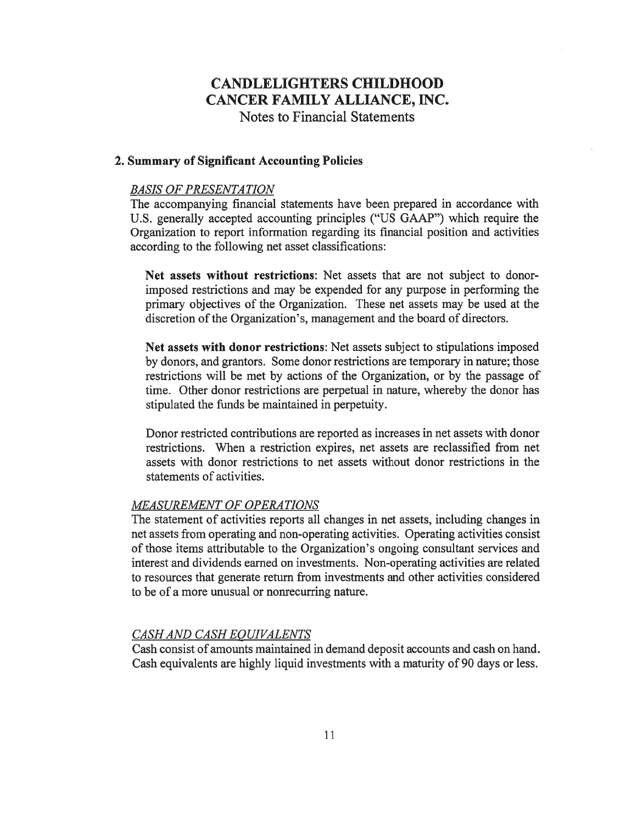## 2. Summary of Significant Accounting Policies

#### BASIS OF PRESENTATION

The accompanying financial statements have been prepared in accordance with U.S. generally accepted accounting principles ("US GAAP") which require the Organization to report information regarding its financial position and activities according to the following net asset classifications:

Net assets without restrictions: Net assets that are not subject to donorimposed restrictions and may be expended for any purpose in performing the primary objectives of the Organization. These net assets may be used at the discretion of the Organization's, management and the board of directors.

Net assets with donor restrictions: Net assets subject to stipulations imposed by donors, and grantors. Some donor restrictions are temporary in nature; those restrictions will be met by actions of the Organization, or by the passage of time. Other donor restrictions are perpetual in nature, whereby the donor has stipulated the funds be maintained in perpetuity.

Donor restricted contributions are reported as increases in net assets with donor restrictions. When <sup>a</sup> restriction expires, net assets are reclassified from net assets with donor restrictions to net assets without donor restrictions in the statements of activities.

## MEASUREMENT OF OPERATIONS

The statement of activities reports all changes in net assets, including changes in net assets from operating and non-operating activities. Operating activities consist of those items attributable to the Organization's ongoing consultant services and interest and dividends earned on investments. Non-operating activities are related to resources that generate return from investments and other activities considered to be of <sup>a</sup> more unusual or nonrecurring nature.

#### CASH AND CASH EOUIVALENTS

Cash consist of amounts maintained in demand deposit accounts and cash on hand. Cash equivalents are highly liquid investments with <sup>a</sup> maturity of <sup>90</sup> days or less.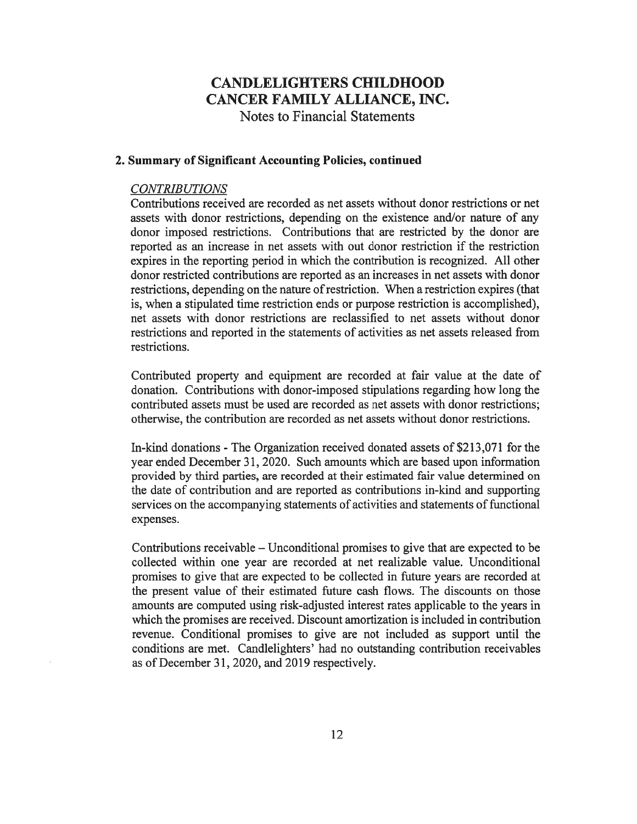## 2. Summary of Significant Accounting Policies, continued

## CONTRIBUTIONS

Contributions received are recorded as net assets without donor restrictions or net assets with donor restrictions, depending on the existence and/or nature of any donor imposed restrictions. Contributions that are restricted by the donor are reported as an increase in net assets with out donor restriction if the restriction expires in the reporting period in which the contribution is recognized. All other donor restricted contributions are reported as an increases in net assets with donor restrictions, depending on the nature of restriction. When <sup>a</sup> restriction expires (that is, when <sup>a</sup> stipulated time restriction ends or purpose restriction is accomplished), net assets with donor restrictions are reclassified to net assets without donor restrictions and reported in the statements of activities as net assets released from restrictions.

Contributed property and equipment are recorded at fair value at the date of donation. Contributions with donor-imposed stipulations regarding how long the contributed assets must be used are recorded as net assets with donor restrictions; otherwise, the contribution are recorded as net assets withoutdonor restrictions.

In-kind donations - The Organization received donated assets of \$213,071 for the year ended December 31, 2020. Such amounts which are based upon information provided by third parties, are recorded at their estimated fair value determined on the date of contributionand are reported as contributions in-kind and supporting services on the accompanying statements of activities and statements of functional expenses.

Contributions receivable – Unconditional promises to give that are expected to be collected within one year are recorded at net realizable value. Unconditional promises to give that are expected to be collected in future years are recorded at the present value of their estimated future cash flows. The discounts on those amounts are computed using risk-adjusted interest rates applicable to the years in which the promises are received. Discount amortization is included in contribution revenue. Conditional promises to give are not included as support until the conditions are met. Candlelighters' had no outstanding contribution receivables as of December 31, 2020, and <sup>2019</sup> respectively.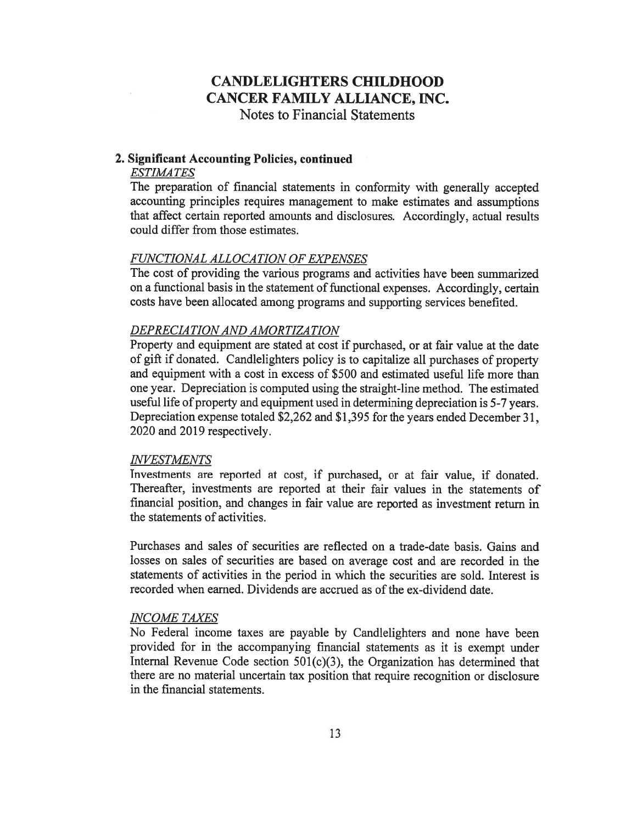#### 2. Significant Accounting Policies, continued

## **ESTIMATES**

The preparation of financial statements in conformity with generally accepted accounting principles requires management to make estimates and assumptions that affect certain reported amounts and disclosures. Accordingly, actual results could differ from those estimates.

## FUNCTIONAL ALLOCATION OF EXPENSES

The cost of providing the various programs and activities have been summarized on a functional basis in the statement of functional expenses. Accordingly, certain costs have been allocated among programs and supporting services benefited.

#### DEPRECIATIONAND AMORTIZATION

Property and equipment are stated at cost if purchased, or at fair value at the date of gift if donated. Candlelighters policy is to capitalize all purchases of property and equipment with <sup>a</sup> cost in excess of \$500 and estimated useful life more than one year. Depreciation is computed using the straight-line method. The estimated useful life of property and equipment used in determining depreciation is 5-7 years. Depreciation expense totaled \$2,262 and \$1,395 for the years ended December 31, 2020 and 2019 respectively.

#### INVESTMENTS

Investments are reported at cost, if purchased, or at fair value, if donated. Thereafter, investments are reported at their fair values in the statements of financial position, and changes in fair value are reported as investment return in the statements of activities.

Purchases and sales of securities are reflected on <sup>a</sup> trade-date basis. Gains and losses on sales of securities are based on average cost and are recorded in the statements of activities in the period in which the securities are sold. Interest is recorded when earned. Dividends are accrued as of the ex-dividend date.

#### INCOME TAXES

No Federal income taxes are payable by Candlelighters and none have been provided for in the accompanying financial statements as it is exempt under Internal Revenue Code section  $501(c)(3)$ , the Organization has determined that there are no material uncertain tax position that require recognition or disclosure in the financial statements.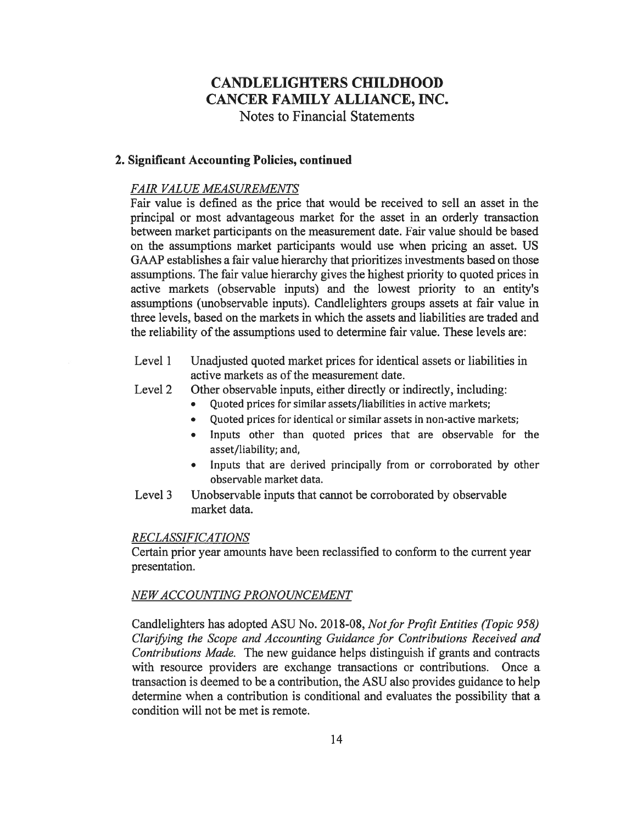## 2. Significant Accounting Policies, continued

## FAIR VALUE MEASUREMENTS

Fair value is defined as the price that would be received to sell an asset in the principal or most advantageous market for the asset in an orderly transaction between market participants on the measurement date. Fair value should be based on the assumptions market participants would use when pricing an asset. US GAAP establishes <sup>a</sup> fair value hierarchy that prioritizes investments based on those assumptions. The fair value hierarchy gives the highest priority to quoted prices in active markets (observable inputs) and the lowest priority to an entity's assumptions (unobservable inputs). Candlelighters groups assets at fair value in three levels, based on the markets in which the assets and liabilities are traded and the reliability of the assumptions used to determine fair value. These levels are:

- Level <sup>1</sup> Unadjusted quoted market prices for identical assets or liabilities in active markets as of the measurement date.
- Level 2 Other observable inputs, either directly or indirectly, including:
	- Quoted prices for similar assets/liabilities in active markets;
	- Quoted prices for identical or similar assets in non-active markets;
	- Inputs other than quoted prices that are observable for the asset/liability; and,
	- Inputs that are derived principally from or corroborated by other observable market data.
- Level <sup>3</sup> Unobservable inputs that cannot be corroborated by observable market data.

### RECLASSIFICATIONS

Certain prior year amounts have been reclassified to conform to the current year presentation.

## NEW ACCOUNTING PRONOUNCEMENT

Candlelighters has adopted ASU No. 2018-08, Not for Profit Entities (Topic 958) Clarifying the Scope and Accounting Guidance for Contributions Received and Contributions Made. The new guidance helps distinguish if grants and contracts with resource providers are exchange transactions or contributions. Once <sup>a</sup> transaction is deemed to be <sup>a</sup> contribution, the ASU also provides guidance to help determine when <sup>a</sup> contribution is conditional and evaluates the possibility that <sup>a</sup> condition will not be met is remote.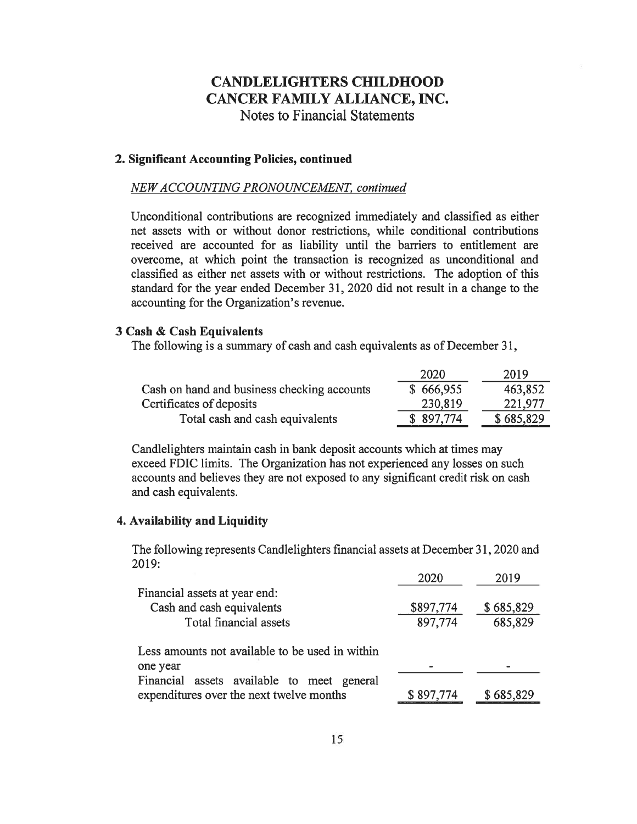#### 2. Significant Accounting Policies, continued

#### NEW ACCOUNTING PRONOUNCEMENT, continued

Unconditional contributions are recognized immediately and classified as either net assets with or without donor restrictions, while conditional contributions received are accounted for as liability until the barriers to entitlement are overcome, at which point the transaction is recognized as unconditional and classified as either net assets with or without restrictions. The adoption of this standard for the year ended December 31, 2020 did not result in <sup>a</sup> change to the accounting for the Organization's revenue.

### <sup>3</sup> Cash & Cash Equivalents

The following is <sup>a</sup> summary of cash and cash equivalents as of December 31,

|                                             | 2020      | 2019      |
|---------------------------------------------|-----------|-----------|
| Cash on hand and business checking accounts | \$666,955 | 463,852   |
| Certificates of deposits                    | 230,819   | 221,977   |
| Total cash and cash equivalents             | \$897,774 | \$685,829 |

Candlelighters maintain cash in bank deposit accounts which at times may exceed FDIC limits. The Organization has not experienced any losses on such accounts and believes they are not exposed to any significant credit risk on cash and cash equivalents.

## 4. Availability and Liquidity

The following represents Candlelighters financial assets at December 31, <sup>2020</sup> and 2019:

|                                                 | 2020      | 2019      |  |  |
|-------------------------------------------------|-----------|-----------|--|--|
| Financial assets at year end:                   |           |           |  |  |
| Cash and cash equivalents                       | \$897,774 | \$685,829 |  |  |
| Total financial assets                          | 897,774   | 685,829   |  |  |
| Less amounts not available to be used in within |           |           |  |  |
| one year                                        |           |           |  |  |
| Financial assets available to meet general      |           |           |  |  |
| expenditures over the next twelve months        | \$897,774 | \$685,829 |  |  |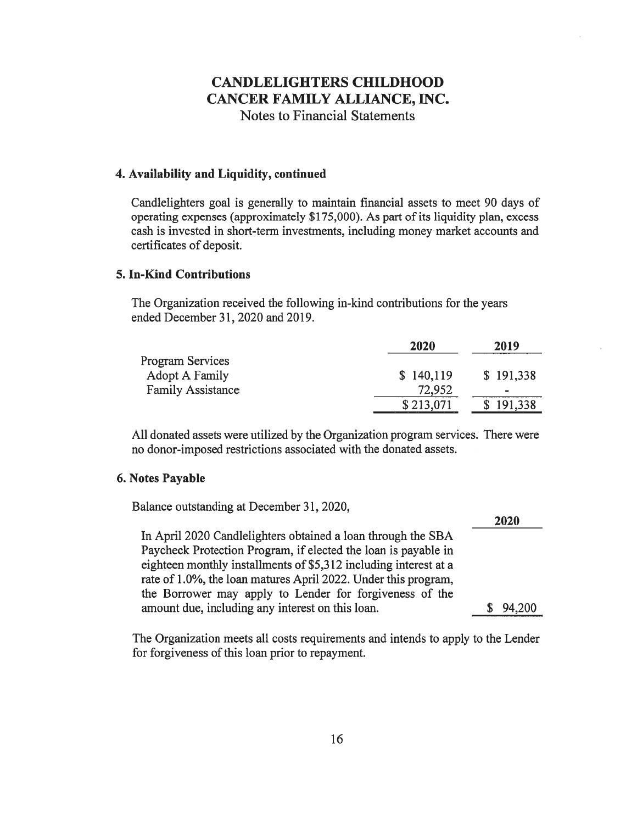## 4. Availability and Liquidity, continued

Candlelighters goal is generally to maintain financial assets to meet <sup>90</sup> days of operating expenses (approximately \$175,000). As part of its liquidity plan, excess cash is invested in short-term investments, including money market accounts and certificates of deposit.

## 5. In-Kind Contributions

The Organization received the following in-kind contributions for the years ended December 31, 2020 and 2019.

|                          | 2020      | 2019      |
|--------------------------|-----------|-----------|
| Program Services         |           |           |
| Adopt A Family           | \$140,119 | \$191,338 |
| <b>Family Assistance</b> | 72,952    | $\,$      |
|                          | \$213,071 | 191,338   |

All donated assets were utilized by the Organization program services. There were no donor-imposed restrictions associated with the donated assets.

### 6. Notes Payable

Balance outstanding at December 31, 2020,

|                                                                  | ZWZU   |
|------------------------------------------------------------------|--------|
| In April 2020 Candle lighters obtained a loan through the SBA    |        |
| Paycheck Protection Program, if elected the loan is payable in   |        |
| eighteen monthly installments of \$5,312 including interest at a |        |
| rate of 1.0%, the loan matures April 2022. Under this program,   |        |
| the Borrower may apply to Lender for forgiveness of the          |        |
| amount due, including any interest on this loan.                 | 94.200 |

3030

The Organization meets all costs requirements and intends to apply to the Lender for forgiveness of this loan prior to repayment.